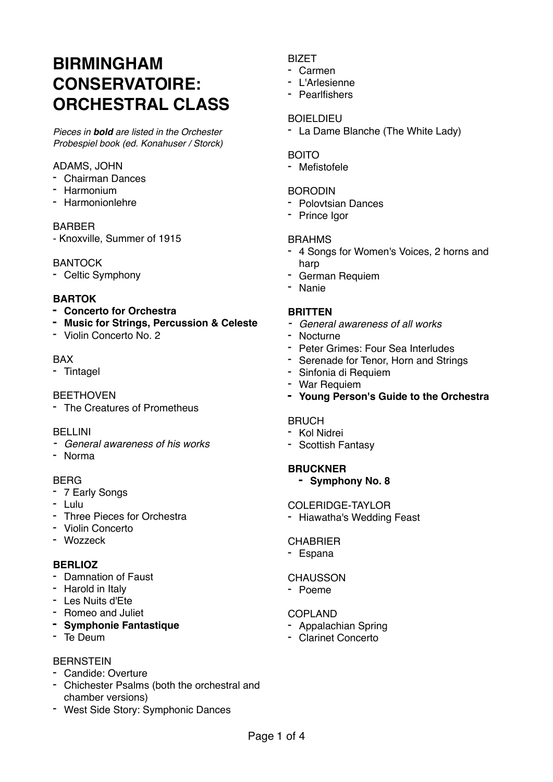# **BIRMINGHAM CONSERVATOIRE: ORCHESTRAL CLASS**

*Pieces in bold are listed in the Orchester Probespiel book (ed. Konahuser / Storck)*

## ADAMS, JOHN

- Chairman Dances
- Harmonium
- Harmonionlehre

## BARBER

- Knoxville, Summer of 1915

## BANTOCK

- Celtic Symphony

## **BARTOK**

- **- Concerto for Orchestra**
- **- Music for Strings, Percussion & Celeste**
- Violin Concerto No. 2

#### BAX

- Tintagel

## **BEETHOVEN**

- The Creatures of Prometheus

## BELLINI

- *- General awareness of his works*
- Norma

## BERG

- 7 Early Songs
- Lulu
- Three Pieces for Orchestra
- Violin Concerto
- Wozzeck

## **BERLIOZ**

- Damnation of Faust
- Harold in Italy
- Les Nuits d'Ete
- Romeo and Juliet
- **- Symphonie Fantastique**
- Te Deum

## **BERNSTEIN**

- Candide: Overture
- Chichester Psalms (both the orchestral and chamber versions)
- West Side Story: Symphonic Dances

# BIZET

- Carmen
- L'Arlesienne
- Pearlfishers

## BOIELDIEU

- La Dame Blanche (The White Lady)

## **BOITO**

- Mefistofele

## **BORODIN**

- Polovtsian Dances
- Prince Igor

## BRAHMS

- 4 Songs for Women's Voices, 2 horns and harp
- German Requiem
- Nanie

## **BRITTEN**

- *- General awareness of all works*
- Nocturne
- Peter Grimes: Four Sea Interludes
- Serenade for Tenor, Horn and Strings
- Sinfonia di Requiem
- War Requiem
- **- Young Person's Guide to the Orchestra**

## **BRUCH**

- Kol Nidrei
- Scottish Fantasy

## **BRUCKNER**

**- Symphony No. 8**

#### COLERIDGE-TAYLOR

- Hiawatha's Wedding Feast

#### **CHABRIER**

- Espana

## **CHAUSSON**

- Poeme

## COPLAND

- Appalachian Spring
- Clarinet Concerto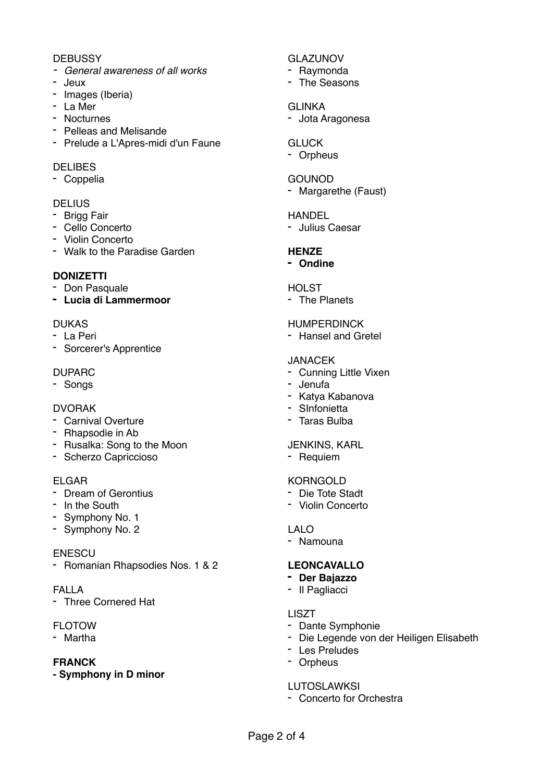## **DEBUSSY**

- *- General awareness of all works*
- Jeux
- Images (Iberia)
- La Mer
- Nocturnes
- Pelleas and Melisande
- Prelude a L'Apres-midi d'un Faune

## DELIBES

- Coppelia

## **DELIUS**

- Brigg Fair
- Cello Concerto
- Violin Concerto
- Walk to the Paradise Garden

## **DONIZETTI**

- Don Pasquale
- **- Lucia di Lammermoor**

## DUKAS

- La Peri
- Sorcerer's Apprentice

## DUPARC

- Songs

## DVORAK

- Carnival Overture
- Rhapsodie in Ab
- Rusalka: Song to the Moon
- Scherzo Capriccioso

## ELGAR

- Dream of Gerontius
- In the South
- Symphony No. 1
- Symphony No. 2

## **ENESCU**

- Romanian Rhapsodies Nos. 1 & 2

#### FALLA

- Three Cornered Hat

## FLOTOW

- Martha

## **FRANCK**

**- Symphony in D minor**

## GLAZUNOV

- Raymonda
- The Seasons

## GLINKA

- Jota Aragonesa

## **GLUCK**

- Orpheus

## GOUNOD

- Margarethe (Faust)

## HANDEL

- Julius Caesar

# **HENZE**

**- Ondine**

## **HOLST**

- The Planets

## HUMPERDINCK

- Hansel and Gretel

## JANACEK

- Cunning Little Vixen
- Jenufa
- Katya Kabanova
- SInfonietta
- Taras Bulba

## JENKINS, KARL

- Requiem

#### **KORNGOLD**

- Die Tote Stadt
- Violin Concerto

## LALO

- Namouna

## **LEONCAVALLO**

- **- Der Bajazzo**
- Il Pagliacci

#### LISZT

- Dante Symphonie
- Die Legende von der Heiligen Elisabeth
- Les Preludes
- Orpheus

# **LUTOSLAWKSI**

- Concerto for Orchestra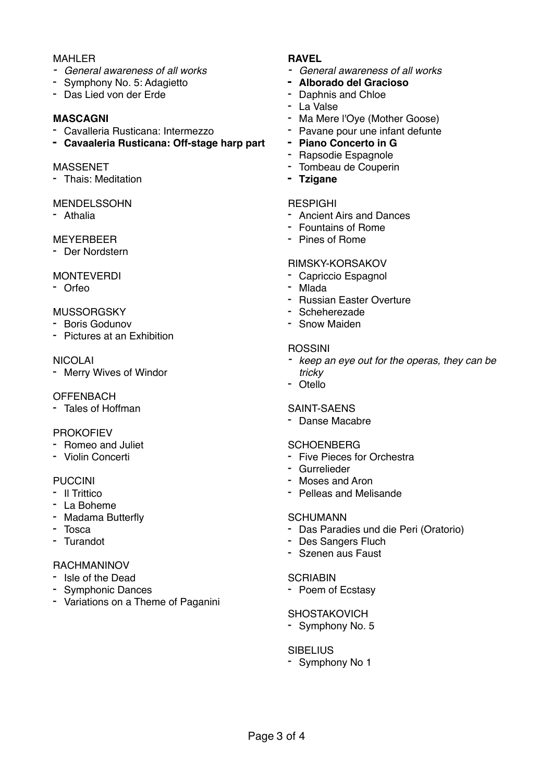## MAHLER

- *- General awareness of all works*
- Symphony No. 5: Adagietto
- Das Lied von der Erde

## **MASCAGNI**

- Cavalleria Rusticana: Intermezzo
- **- Cavaaleria Rusticana: Off-stage harp part**

#### MASSENET

- Thais: Meditation

#### MENDELSSOHN

- Athalia

## MEYERBEER

- Der Nordstern

## MONTEVERDI

- Orfeo

## **MUSSORGSKY**

- Boris Godunov
- Pictures at an Exhibition

## NICOLAI

- Merry Wives of Windor

#### **OFFENBACH**

- Tales of Hoffman

#### PROKOFIEV

- Romeo and Juliet
- Violin Concerti

#### PUCCINI

- Il Trittico
- La Boheme
- Madama Butterfly
- Tosca
- Turandot

## RACHMANINOV

- Isle of the Dead
- Symphonic Dances
- Variations on a Theme of Paganini

## **RAVEL**

- *- General awareness of all works*
- **- Alborado del Gracioso**
- Daphnis and Chloe
- La Valse
- Ma Mere l'Oye (Mother Goose)
- Pavane pour une infant defunte
- **- Piano Concerto in G**
- Rapsodie Espagnole
- Tombeau de Couperin
- **- Tzigane**

#### RESPIGHI

- Ancient Airs and Dances
- Fountains of Rome
- Pines of Rome

## RIMSKY-KORSAKOV

- Capriccio Espagnol
- Mlada
- Russian Easter Overture
- Scheherezade
- Snow Maiden

## ROSSINI

- *- keep an eye out for the operas, they can be tricky*
- Otello

## SAINT-SAENS

- Danse Macabre

#### **SCHOENBERG**

- Five Pieces for Orchestra
- Gurrelieder
- Moses and Aron
- Pelleas and Melisande

#### **SCHUMANN**

- Das Paradies und die Peri (Oratorio)
- Des Sangers Fluch
- Szenen aus Faust

## **SCRIABIN**

- Poem of Ecstasy

#### **SHOSTAKOVICH**

- Symphony No. 5

#### **SIBELIUS**

- Symphony No 1